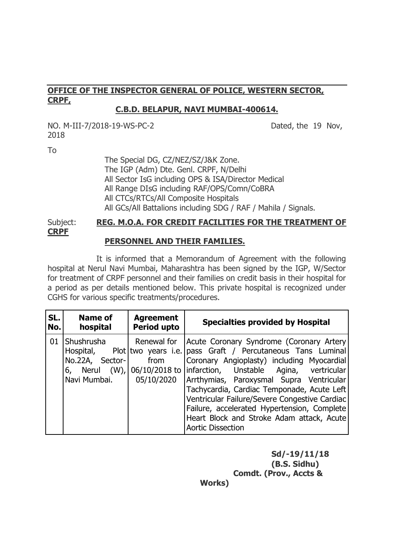## **OFFICE OF THE INSPECTOR GENERAL OF POLICE, WESTERN SECTOR, CRPF,**

#### **C.B.D. BELAPUR, NAVI MUMBAI-400614.**

NO. M-III-7/2018-19-WS-PC-2 Dated, the 19 Nov, 2018

To

The Special DG, CZ/NEZ/SZ/J&K Zone. The IGP (Adm) Dte. Genl. CRPF, N/Delhi All Sector IsG including OPS & ISA/Director Medical All Range DIsG including RAF/OPS/Comn/CoBRA All CTCs/RTCs/All Composite Hospitals All GCs/All Battalions including SDG / RAF / Mahila / Signals.

# Subject: **REG. M.O.A. FOR CREDIT FACILITIES FOR THE TREATMENT OF CRPF**

### **PERSONNEL AND THEIR FAMILIES.**

 It is informed that a Memorandum of Agreement with the following hospital at Nerul Navi Mumbai, Maharashtra has been signed by the IGP, W/Sector for treatment of CRPF personnel and their families on credit basis in their hospital for a period as per details mentioned below. This private hospital is recognized under CGHS for various specific treatments/procedures.

| SL. | Name of                                                                                   | <b>Agreement</b>                                         | <b>Specialties provided by Hospital</b>                                                                                                                                                                                                                                                                                                                                                                                                        |
|-----|-------------------------------------------------------------------------------------------|----------------------------------------------------------|------------------------------------------------------------------------------------------------------------------------------------------------------------------------------------------------------------------------------------------------------------------------------------------------------------------------------------------------------------------------------------------------------------------------------------------------|
| No. | hospital                                                                                  | <b>Period upto</b>                                       |                                                                                                                                                                                                                                                                                                                                                                                                                                                |
| 01  | Shushrusha<br>Hospital,<br>No.22A, Sector-<br>6, Nerul (W), 06/10/2018 to<br>Navi Mumbai. | Renewal for<br>Plot two years i.e.<br>from<br>05/10/2020 | Acute Coronary Syndrome (Coronary Artery<br>pass Graft / Percutaneous Tans Luminal<br>Coronary Angioplasty) including Myocardial<br>infarction, Unstable Agina, vertricular<br>Arrthymias, Paroxysmal Supra Ventricular<br>Tachycardia, Cardiac Temponade, Acute Left<br>Ventricular Failure/Severe Congestive Cardiac<br>Failure, accelerated Hypertension, Complete<br>Heart Block and Stroke Adam attack, Acute<br><b>Aortic Dissection</b> |

**Sd/-19/11/18 (B.S. Sidhu) Comdt. (Prov., Accts &** 

**Works)**